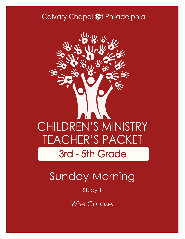### Calvary Chapel @f Philadelphia



# Sunday Morning

### Study 1

*Wise Counsel*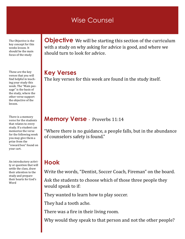### Wise Counsel

The Objective is the key concept for this weeks lesson. It should be the main focus of the study

These are the key verses that you will find helpful in teaching your study this week. The "Main passage" is the basis of the study, where the other verse support the objective of the lesson.

There is a memory verse for the students that relates to every study. If a student can memorize the verse for the following week you may give them a prize from the "reward box" found on your cart.

An introductory activity or question that will settle the class, draw their attention to the study and prepare their hearts for God's Word

**Objective** We will be starting this section of the curriculum with a study on why asking for advice is good, and where we should turn to look for advice.

**Key Verses** The key verses for this week are found in the study itself.

#### **Memory Verse** - Proverbs 11:14

"Where there is no guidance, a people falls, but in the abundance of counselors safety is found."

### **Hook**

Write the words, "Dentist, Soccer Coach, Fireman" on the board.

Ask the students to choose which of those three people they would speak to if:

They wanted to learn how to play soccer.

They had a tooth ache.

There was a fire in their living room.

Why would they speak to that person and not the other people?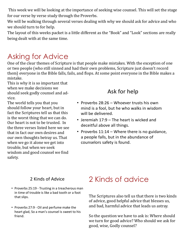This week we will be looking at the importance of seeking wise counsel. This will set the stage for our verse by verse study through the Proverbs.

We will be walking through several verses dealing with why we should ask for advice and who we should turn to for help.

The layout of this weeks packet is a little different as the "Book" and "Look" sections are really being dealt with at the same time.

## Asking for Advice

One of the clear themes of Scripture is that people make mistakes. With the exception of one or two people (who still sinned and had their own problems, Scripture just doesn't record them) everyone in the Bible falls, fails, and flops. At some point everyone in the Bible makes a mistake.

This is why it is so important that when we make decisions we should seek godly counsel and advice.

The world tells you that you should follow your heart, but in fact the Scriptures tell us that this is the worst thing that we can do. Our heart is not to be trusted. In the three verses listed here we see that in fact our own desires and our own thoughts betray us. That when we go it alone we get into trouble, but when we seek wisdom and good counsel we find safety.

### Ask for help

- Proverbs 28:26 Whoever trusts his own mind is a fool, but he who walks in wisdom will be delivered.
- Jeremiah 17:9 The heart is wicked and deceitful above all things.
- Proverbs 11:14 Where there is no guidance, a people falls, but in the abundance of counselors safety is found.

#### 2 Kinds of Advice

- Proverbs 25:19 Trusting in a treacherous man in time of trouble is like a bad tooth or a foot that slips.
- Proverbs 27:9 Oil and perfume make the heart glad, So a man's counsel is sweet to his friend.

# 2 Kinds of advice

The Scriptures also tell us that there is two kinds of advice, good helpful advice that blesses us, and bad, harmful advice that leads us astray.

So the question we have to ask is: Where should we turn for good advice? Who should we ask for good, wise, Godly counsel?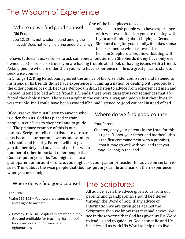## The Wisdom of Experience

Where do we find good counsel Old People!

Job 12:12 - Is not wisdom found among the aged? Does not long life bring understanding?

One of the best places to seek

advice is to ask people who have experience with whatever situation you are dealing with. If you are thinking about buying a German Shepherd dog for your family, it makes sense to ask someone who has owned a German Shepherd about how that dog will

behave. It doesn't make sense to ask someone about German Shepherds if they have only ever owned cats! This is also true if you are having trouble at school, or having issues with a friend. Asking people who are older than you, who have experience in life is a great place to start to seek wise counsel.

In 1 Kings 12, King Rehoboam ignored the advice of his wise older counselors and listened to his friends. His friends didn't have experience in running a nation or dealing with people, but the older counselors did. Because Rehoboam didn't listen to advice from experienced men and instead listened to bad advice from his friends, there were disastrous consequences that affected the whole nation. There was a split in the country, a war, and people lost their lives. It was terrible. It all could have been avoided if he had listened to good counsel instead of bad.

Of course we don't just listen to anyone who is older than us. God has placed certain people in our lives to shepherd and to guide us. The primary example of this is our parents. Scripture tells us to listen to our parents because our parents love us and want us to be safe and healthy. Parents will not give you deliberately bad advice, and neither will a number of other important older people that God has put in your life. You might turn to a

#### Where do we find good counsel

#### Your Parents!

Children, obey your parents in the Lord, for this is right. "Honor your father and mother" (this is the first commandment with a promise), "that it may go well with you and that you may live long in the land."

grandparent or an aunt or uncle, you might ask your pastor or teacher for advice on certain issues. Think about the wise people that God has put in your life and lean on their experience when you need help.

#### Where do we find good counsel

The Bible

Psalm 119:105 - Your word is a lamp to my feet and a light to my path.

2 Timothy 3:16 - All Scripture is breathed out by God and profitable for teaching, for reproof, for correction, and for training in righteousness

### The Scriptures

All advice, even the advice given to us from our parents and grandparents, should be filtered through the Word of God. If any advice or information we are given goes against the Scriptures then we know that it is bad advice. We see in these verses that God has given us His Word to lead us and to guide us. God cannot lie and He has blessed us with His Word to help us to live.